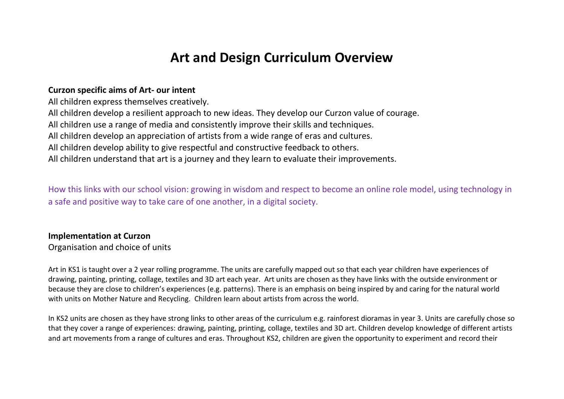# **Art and Design Curriculum Overview**

#### **Curzon specific aims of Art- our intent**

All children express themselves creatively.

All children develop a resilient approach to new ideas. They develop our Curzon value of courage.

All children use a range of media and consistently improve their skills and techniques.

All children develop an appreciation of artists from a wide range of eras and cultures.

All children develop ability to give respectful and constructive feedback to others.

All children understand that art is a journey and they learn to evaluate their improvements.

How this links with our school vision: growing in wisdom and respect to become an online role model, using technology in a safe and positive way to take care of one another, in a digital society.

#### **Implementation at Curzon**

Organisation and choice of units

Art in KS1 is taught over a 2 year rolling programme. The units are carefully mapped out so that each year children have experiences of drawing, painting, printing, collage, textiles and 3D art each year. Art units are chosen as they have links with the outside environment or because they are close to children's experiences (e.g. patterns). There is an emphasis on being inspired by and caring for the natural world with units on Mother Nature and Recycling. Children learn about artists from across the world.

In KS2 units are chosen as they have strong links to other areas of the curriculum e.g. rainforest dioramas in year 3. Units are carefully chose so that they cover a range of experiences: drawing, painting, printing, collage, textiles and 3D art. Children develop knowledge of different artists and art movements from a range of cultures and eras. Throughout KS2, children are given the opportunity to experiment and record their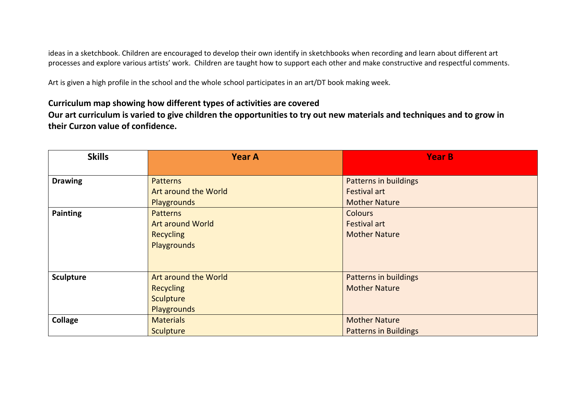ideas in a sketchbook. Children are encouraged to develop their own identify in sketchbooks when recording and learn about different art processes and explore various artists' work. Children are taught how to support each other and make constructive and respectful comments.

Art is given a high profile in the school and the whole school participates in an art/DT book making week.

**Curriculum map showing how different types of activities are covered Our art curriculum is varied to give children the opportunities to try out new materials and techniques and to grow in their Curzon value of confidence.** 

| <b>Skills</b>    | <b>Year A</b>           | <b>Year B</b>                |
|------------------|-------------------------|------------------------------|
|                  |                         |                              |
| <b>Drawing</b>   | <b>Patterns</b>         | <b>Patterns in buildings</b> |
|                  | Art around the World    | <b>Festival art</b>          |
|                  | Playgrounds             | <b>Mother Nature</b>         |
| <b>Painting</b>  | <b>Patterns</b>         | <b>Colours</b>               |
|                  | <b>Art around World</b> | <b>Festival art</b>          |
|                  | <b>Recycling</b>        | <b>Mother Nature</b>         |
|                  | Playgrounds             |                              |
|                  |                         |                              |
|                  |                         |                              |
| <b>Sculpture</b> | Art around the World    | <b>Patterns in buildings</b> |
|                  | <b>Recycling</b>        | <b>Mother Nature</b>         |
|                  | <b>Sculpture</b>        |                              |
|                  | Playgrounds             |                              |
| <b>Collage</b>   | <b>Materials</b>        | <b>Mother Nature</b>         |
|                  | <b>Sculpture</b>        | <b>Patterns in Buildings</b> |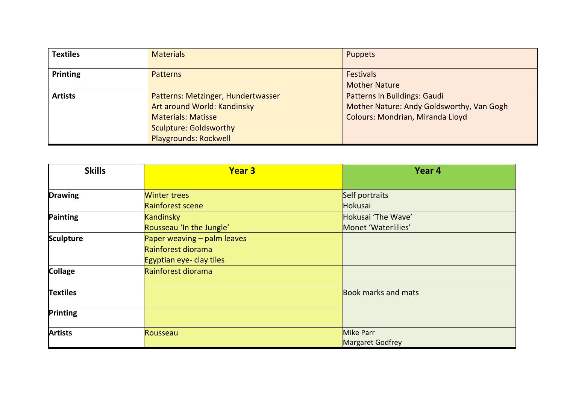| <b>Textiles</b> | <b>Materials</b>                                                                                                                | <b>Puppets</b>                                                                                                       |
|-----------------|---------------------------------------------------------------------------------------------------------------------------------|----------------------------------------------------------------------------------------------------------------------|
| <b>Printing</b> | <b>Patterns</b>                                                                                                                 | <b>Festivals</b><br><b>Mother Nature</b>                                                                             |
| <b>Artists</b>  | Patterns: Metzinger, Hundertwasser<br>Art around World: Kandinsky<br><b>Materials: Matisse</b><br><b>Sculpture: Goldsworthy</b> | <b>Patterns in Buildings: Gaudi</b><br>Mother Nature: Andy Goldsworthy, Van Gogh<br>Colours: Mondrian, Miranda Lloyd |
|                 | <b>Playgrounds: Rockwell</b>                                                                                                    |                                                                                                                      |

| <b>Skills</b>    | <b>Year 3</b>               | Year 4                     |
|------------------|-----------------------------|----------------------------|
|                  |                             |                            |
| <b>Drawing</b>   | <b>Winter trees</b>         | Self portraits             |
|                  | Rainforest scene            | Hokusai                    |
| Painting         | <b>Kandinsky</b>            | Hokusai 'The Wave'         |
|                  | Rousseau 'In the Jungle'    | Monet 'Waterlilies'        |
| <b>Sculpture</b> | Paper weaving – palm leaves |                            |
|                  | Rainforest diorama          |                            |
|                  | Egyptian eye- clay tiles    |                            |
| <b>Collage</b>   | Rainforest diorama          |                            |
|                  |                             |                            |
| <b>Textiles</b>  |                             | <b>Book marks and mats</b> |
| Printing         |                             |                            |
| <b>Artists</b>   | Rousseau                    | Mike Parr                  |
|                  |                             | Margaret Godfrey           |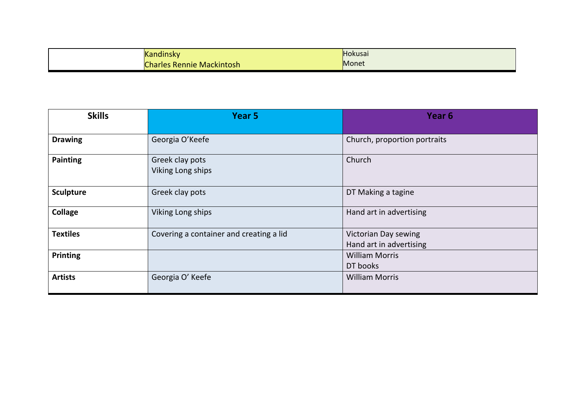| . .<br>Kandinsky                 | Hokusai |
|----------------------------------|---------|
| <b>Charles Rennie Mackintosh</b> | Monet   |

| <b>Skills</b>    | Year 5                                  | Year <sub>6</sub>            |
|------------------|-----------------------------------------|------------------------------|
|                  |                                         |                              |
| <b>Drawing</b>   | Georgia O'Keefe                         | Church, proportion portraits |
| <b>Painting</b>  | Greek clay pots<br>Viking Long ships    | Church                       |
| <b>Sculpture</b> | Greek clay pots                         | DT Making a tagine           |
| <b>Collage</b>   | Viking Long ships                       | Hand art in advertising      |
| <b>Textiles</b>  | Covering a container and creating a lid | Victorian Day sewing         |
|                  |                                         | Hand art in advertising      |
| Printing         |                                         | <b>William Morris</b>        |
|                  |                                         | DT books                     |
| <b>Artists</b>   | Georgia O' Keefe                        | <b>William Morris</b>        |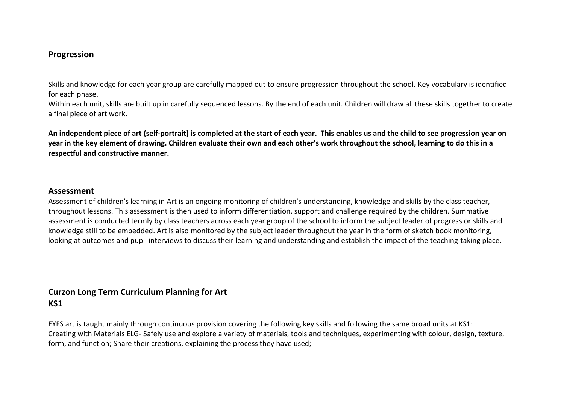#### **Progression**

Skills and knowledge for each year group are carefully mapped out to ensure progression throughout the school. Key vocabulary is identified for each phase.

Within each unit, skills are built up in carefully sequenced lessons. By the end of each unit. Children will draw all these skills together to create a final piece of art work.

**An independent piece of art (self-portrait) is completed at the start of each year. This enables us and the child to see progression year on year in the key element of drawing. Children evaluate their own and each other's work throughout the school, learning to do this in a respectful and constructive manner.**

#### **Assessment**

Assessment of children's learning in Art is an ongoing monitoring of children's understanding, knowledge and skills by the class teacher, throughout lessons. This assessment is then used to inform differentiation, support and challenge required by the children. Summative assessment is conducted termly by class teachers across each year group of the school to inform the subject leader of progress or skills and knowledge still to be embedded. Art is also monitored by the subject leader throughout the year in the form of sketch book monitoring, looking at outcomes and pupil interviews to discuss their learning and understanding and establish the impact of the teaching taking place.

## **Curzon Long Term Curriculum Planning for Art KS1**

EYFS art is taught mainly through continuous provision covering the following key skills and following the same broad units at KS1: Creating with Materials ELG- Safely use and explore a variety of materials, tools and techniques, experimenting with colour, design, texture, form, and function; Share their creations, explaining the process they have used;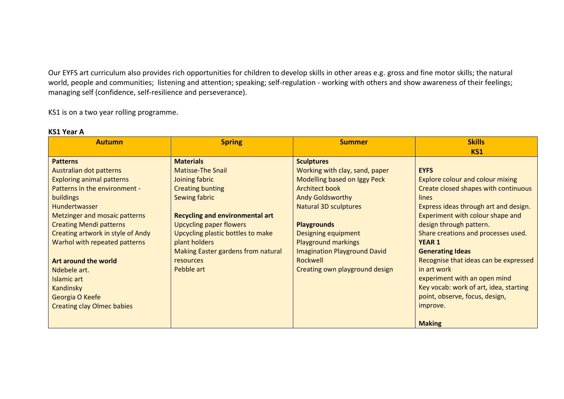Our EYFS art curriculum also provides rich opportunities for children to develop skills in other areas e.g. gross and fine motor skills; the natural world, people and communities; listening and attention; speaking; self-regulation - working with others and show awareness of their feelings; managing self (confidence, self-resilience and perseverance).

KS1 is on a two year rolling programme.

| <b>Autumn</b>                     | <b>Spring</b>                          | <b>Summer</b>                       | <b>Skills</b>                           |
|-----------------------------------|----------------------------------------|-------------------------------------|-----------------------------------------|
|                                   |                                        |                                     | <b>KS1</b>                              |
| <b>Patterns</b>                   | <b>Materials</b>                       | <b>Sculptures</b>                   |                                         |
| Australian dot patterns           | <b>Matisse-The Snail</b>               | Working with clay, sand, paper      | <b>EYFS</b>                             |
| <b>Exploring animal patterns</b>  | Joining fabric                         | Modelling based on Iggy Peck        | <b>Explore colour and colour mixing</b> |
| Patterns in the environment -     | <b>Creating bunting</b>                | <b>Architect book</b>               | Create closed shapes with continuous    |
| buildings                         | Sewing fabric                          | <b>Andy Goldsworthy</b>             | lines                                   |
| Hundertwasser                     |                                        | <b>Natural 3D sculptures</b>        | Express ideas through art and design.   |
| Metzinger and mosaic patterns     | <b>Recycling and environmental art</b> |                                     | Experiment with colour shape and        |
| <b>Creating Mendi patterns</b>    | Upcycling paper flowers                | <b>Playgrounds</b>                  | design through pattern.                 |
| Creating artwork in style of Andy | Upcycling plastic bottles to make      | <b>Designing equipment</b>          | Share creations and processes used.     |
| Warhol with repeated patterns     | plant holders                          | <b>Playground markings</b>          | <b>YEAR 1</b>                           |
|                                   | Making Easter gardens from natural     | <b>Imagination Playground David</b> | <b>Generating Ideas</b>                 |
| Art around the world              | resources                              | Rockwell                            | Recognise that ideas can be expressed   |
| Ndebele art.                      | Pebble art                             | Creating own playground design      | in art work                             |
| Islamic art                       |                                        |                                     | experiment with an open mind            |
| Kandinsky                         |                                        |                                     | Key vocab: work of art, idea, starting  |
| Georgia O Keefe                   |                                        |                                     | point, observe, focus, design,          |
| <b>Creating clay Olmec babies</b> |                                        |                                     | improve.                                |
|                                   |                                        |                                     |                                         |
|                                   |                                        |                                     | <b>Making</b>                           |

#### **KS1 Year A**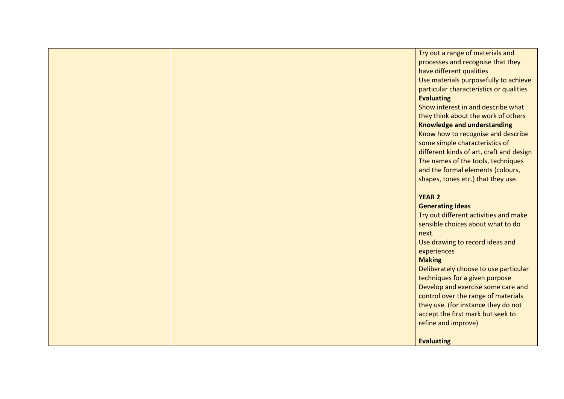|  | Try out a range of materials and<br>processes and recognise that they<br>have different qualities<br>Use materials purposefully to achieve<br>particular characteristics or qualities<br><b>Evaluating</b> |
|--|------------------------------------------------------------------------------------------------------------------------------------------------------------------------------------------------------------|
|  | Show interest in and describe what<br>they think about the work of others                                                                                                                                  |
|  | <b>Knowledge and understanding</b><br>Know how to recognise and describe                                                                                                                                   |
|  | some simple characteristics of                                                                                                                                                                             |
|  | different kinds of art, craft and design<br>The names of the tools, techniques                                                                                                                             |
|  | and the formal elements (colours,                                                                                                                                                                          |
|  | shapes, tones etc.) that they use.                                                                                                                                                                         |
|  | <b>YEAR 2</b>                                                                                                                                                                                              |
|  | <b>Generating Ideas</b>                                                                                                                                                                                    |
|  | Try out different activities and make<br>sensible choices about what to do                                                                                                                                 |
|  | next.                                                                                                                                                                                                      |
|  | Use drawing to record ideas and                                                                                                                                                                            |
|  | experiences                                                                                                                                                                                                |
|  | <b>Making</b><br>Deliberately choose to use particular                                                                                                                                                     |
|  | techniques for a given purpose                                                                                                                                                                             |
|  | Develop and exercise some care and                                                                                                                                                                         |
|  | control over the range of materials                                                                                                                                                                        |
|  | they use. (for instance they do not<br>accept the first mark but seek to                                                                                                                                   |
|  | refine and improve)                                                                                                                                                                                        |
|  |                                                                                                                                                                                                            |
|  | <b>Evaluating</b>                                                                                                                                                                                          |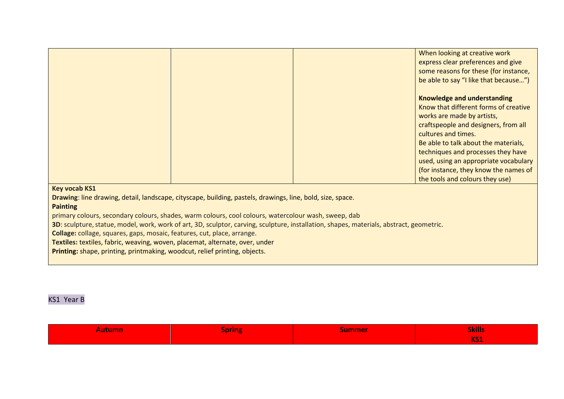|                                                                                                                                          |                                                                                                            |  | When looking at creative work         |  |
|------------------------------------------------------------------------------------------------------------------------------------------|------------------------------------------------------------------------------------------------------------|--|---------------------------------------|--|
|                                                                                                                                          |                                                                                                            |  |                                       |  |
|                                                                                                                                          |                                                                                                            |  | express clear preferences and give    |  |
|                                                                                                                                          |                                                                                                            |  | some reasons for these (for instance, |  |
|                                                                                                                                          |                                                                                                            |  | be able to say "I like that because") |  |
|                                                                                                                                          |                                                                                                            |  |                                       |  |
|                                                                                                                                          |                                                                                                            |  | <b>Knowledge and understanding</b>    |  |
|                                                                                                                                          |                                                                                                            |  | Know that different forms of creative |  |
|                                                                                                                                          |                                                                                                            |  | works are made by artists,            |  |
|                                                                                                                                          |                                                                                                            |  | craftspeople and designers, from all  |  |
|                                                                                                                                          |                                                                                                            |  |                                       |  |
|                                                                                                                                          |                                                                                                            |  | cultures and times.                   |  |
|                                                                                                                                          |                                                                                                            |  | Be able to talk about the materials,  |  |
|                                                                                                                                          |                                                                                                            |  | techniques and processes they have    |  |
|                                                                                                                                          |                                                                                                            |  | used, using an appropriate vocabulary |  |
|                                                                                                                                          |                                                                                                            |  | (for instance, they know the names of |  |
|                                                                                                                                          |                                                                                                            |  | the tools and colours they use)       |  |
|                                                                                                                                          |                                                                                                            |  |                                       |  |
| <b>Key vocab KS1</b>                                                                                                                     |                                                                                                            |  |                                       |  |
|                                                                                                                                          | Drawing: line drawing, detail, landscape, cityscape, building, pastels, drawings, line, bold, size, space. |  |                                       |  |
| <b>Painting</b>                                                                                                                          |                                                                                                            |  |                                       |  |
|                                                                                                                                          | primary colours, secondary colours, shades, warm colours, cool colours, watercolour wash, sweep, dab       |  |                                       |  |
| 3D: sculpture, statue, model, work, work of art, 3D, sculptor, carving, sculpture, installation, shapes, materials, abstract, geometric. |                                                                                                            |  |                                       |  |
| Collage: collage, squares, gaps, mosaic, features, cut, place, arrange.                                                                  |                                                                                                            |  |                                       |  |
| Textiles: textiles, fabric, weaving, woven, placemat, alternate, over, under                                                             |                                                                                                            |  |                                       |  |
|                                                                                                                                          |                                                                                                            |  |                                       |  |
| Printing: shape, printing, printmaking, woodcut, relief printing, objects.                                                               |                                                                                                            |  |                                       |  |

## KS1 Year B

| <b>Autumn</b> | $\overline{\phantom{a}}$<br>ipring<br>and the second second second second second second second second second second second second second second second second second second second second second second second second second second second second second second seco<br>$\sim$ | Jummer | <b>Skills</b> |
|---------------|--------------------------------------------------------------------------------------------------------------------------------------------------------------------------------------------------------------------------------------------------------------------------------|--------|---------------|
|               |                                                                                                                                                                                                                                                                                |        | <b>KS1</b>    |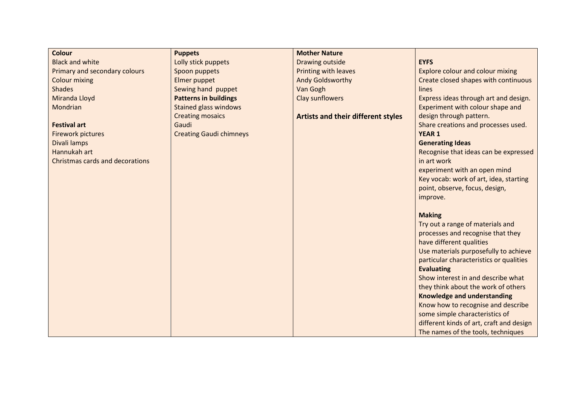| <b>Colour</b>                          | <b>Puppets</b>                 | <b>Mother Nature</b>                      |                                          |
|----------------------------------------|--------------------------------|-------------------------------------------|------------------------------------------|
| <b>Black and white</b>                 | Lolly stick puppets            | Drawing outside                           | <b>EYFS</b>                              |
| Primary and secondary colours          | Spoon puppets                  | <b>Printing with leaves</b>               | <b>Explore colour and colour mixing</b>  |
| <b>Colour mixing</b>                   | Elmer puppet                   | <b>Andy Goldsworthy</b>                   | Create closed shapes with continuous     |
| <b>Shades</b>                          | Sewing hand puppet             | Van Gogh                                  | lines                                    |
| Miranda Lloyd                          | <b>Patterns in buildings</b>   | Clay sunflowers                           | Express ideas through art and design.    |
| Mondrian                               | <b>Stained glass windows</b>   |                                           | Experiment with colour shape and         |
|                                        | <b>Creating mosaics</b>        | <b>Artists and their different styles</b> | design through pattern.                  |
| <b>Festival art</b>                    | Gaudi                          |                                           | Share creations and processes used.      |
| <b>Firework pictures</b>               | <b>Creating Gaudi chimneys</b> |                                           | <b>YEAR 1</b>                            |
| Divali lamps                           |                                |                                           | <b>Generating Ideas</b>                  |
| Hannukah art                           |                                |                                           | Recognise that ideas can be expressed    |
| <b>Christmas cards and decorations</b> |                                |                                           | in art work                              |
|                                        |                                |                                           | experiment with an open mind             |
|                                        |                                |                                           | Key vocab: work of art, idea, starting   |
|                                        |                                |                                           | point, observe, focus, design,           |
|                                        |                                |                                           | improve.                                 |
|                                        |                                |                                           | <b>Making</b>                            |
|                                        |                                |                                           | Try out a range of materials and         |
|                                        |                                |                                           | processes and recognise that they        |
|                                        |                                |                                           | have different qualities                 |
|                                        |                                |                                           | Use materials purposefully to achieve    |
|                                        |                                |                                           | particular characteristics or qualities  |
|                                        |                                |                                           | <b>Evaluating</b>                        |
|                                        |                                |                                           | Show interest in and describe what       |
|                                        |                                |                                           | they think about the work of others      |
|                                        |                                |                                           | <b>Knowledge and understanding</b>       |
|                                        |                                |                                           | Know how to recognise and describe       |
|                                        |                                |                                           | some simple characteristics of           |
|                                        |                                |                                           | different kinds of art, craft and design |
|                                        |                                |                                           | The names of the tools, techniques       |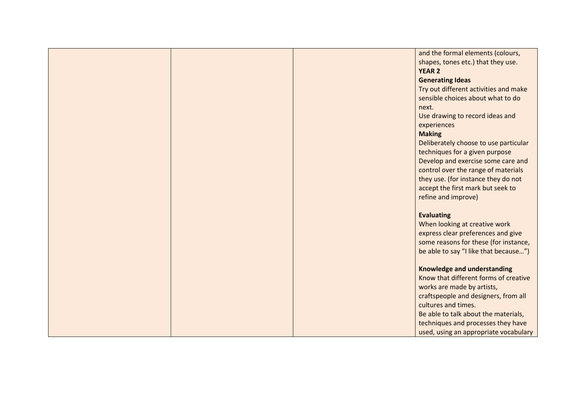|  | and the formal elements (colours,     |
|--|---------------------------------------|
|  | shapes, tones etc.) that they use.    |
|  | <b>YEAR 2</b>                         |
|  | <b>Generating Ideas</b>               |
|  | Try out different activities and make |
|  | sensible choices about what to do     |
|  | next.                                 |
|  | Use drawing to record ideas and       |
|  | experiences                           |
|  | <b>Making</b>                         |
|  | Deliberately choose to use particular |
|  | techniques for a given purpose        |
|  | Develop and exercise some care and    |
|  | control over the range of materials   |
|  | they use. (for instance they do not   |
|  | accept the first mark but seek to     |
|  | refine and improve)                   |
|  |                                       |
|  | <b>Evaluating</b>                     |
|  | When looking at creative work         |
|  | express clear preferences and give    |
|  | some reasons for these (for instance, |
|  | be able to say "I like that because") |
|  |                                       |
|  | <b>Knowledge and understanding</b>    |
|  | Know that different forms of creative |
|  | works are made by artists,            |
|  | craftspeople and designers, from all  |
|  | cultures and times.                   |
|  | Be able to talk about the materials,  |
|  | techniques and processes they have    |
|  | used, using an appropriate vocabulary |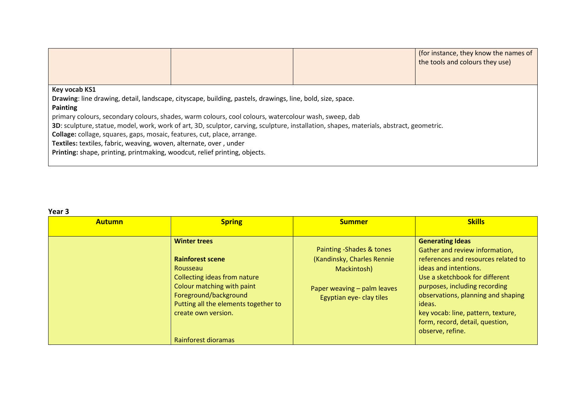|                                                                                                                                          |                                                                                                            |  | (for instance, they know the names of<br>the tools and colours they use) |  |
|------------------------------------------------------------------------------------------------------------------------------------------|------------------------------------------------------------------------------------------------------------|--|--------------------------------------------------------------------------|--|
|                                                                                                                                          |                                                                                                            |  |                                                                          |  |
| Key vocab KS1                                                                                                                            |                                                                                                            |  |                                                                          |  |
|                                                                                                                                          | Drawing: line drawing, detail, landscape, cityscape, building, pastels, drawings, line, bold, size, space. |  |                                                                          |  |
| Painting                                                                                                                                 |                                                                                                            |  |                                                                          |  |
|                                                                                                                                          | primary colours, secondary colours, shades, warm colours, cool colours, watercolour wash, sweep, dab       |  |                                                                          |  |
| 3D: sculpture, statue, model, work, work of art, 3D, sculptor, carving, sculpture, installation, shapes, materials, abstract, geometric. |                                                                                                            |  |                                                                          |  |
| Collage: collage, squares, gaps, mosaic, features, cut, place, arrange.                                                                  |                                                                                                            |  |                                                                          |  |
| Textiles: textiles, fabric, weaving, woven, alternate, over, under                                                                       |                                                                                                            |  |                                                                          |  |
| Printing: shape, printing, printmaking, woodcut, relief printing, objects.                                                               |                                                                                                            |  |                                                                          |  |
|                                                                                                                                          |                                                                                                            |  |                                                                          |  |

# **Year 3**

| <b>Autumn</b> | <b>Spring</b>                                                                                                                                                                                                                           | <b>Summer</b>                                                                                                                    | <b>Skills</b>                                                                                                                                                                                                                                                                                                                             |
|---------------|-----------------------------------------------------------------------------------------------------------------------------------------------------------------------------------------------------------------------------------------|----------------------------------------------------------------------------------------------------------------------------------|-------------------------------------------------------------------------------------------------------------------------------------------------------------------------------------------------------------------------------------------------------------------------------------------------------------------------------------------|
|               | <b>Winter trees</b><br><b>Rainforest scene</b><br>Rousseau<br>Collecting ideas from nature<br>Colour matching with paint<br>Foreground/background<br>Putting all the elements together to<br>create own version.<br>Rainforest dioramas | Painting -Shades & tones<br>(Kandinsky, Charles Rennie<br>Mackintosh)<br>Paper weaving - palm leaves<br>Egyptian eye- clay tiles | <b>Generating Ideas</b><br>Gather and review information,<br>references and resources related to<br>ideas and intentions.<br>Use a sketchbook for different<br>purposes, including recording<br>observations, planning and shaping<br>ideas.<br>key vocab: line, pattern, texture,<br>form, record, detail, question,<br>observe, refine. |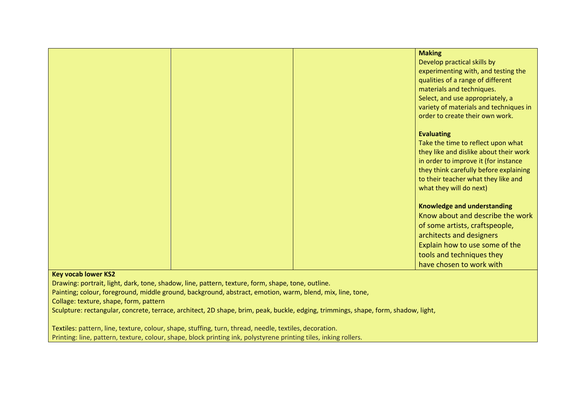| <b>Making</b>                          |
|----------------------------------------|
| Develop practical skills by            |
| experimenting with, and testing the    |
| qualities of a range of different      |
| materials and techniques.              |
| Select, and use appropriately, a       |
| variety of materials and techniques in |
| order to create their own work.        |
|                                        |
| <b>Evaluating</b>                      |
| Take the time to reflect upon what     |
| they like and dislike about their work |
| in order to improve it (for instance   |
| they think carefully before explaining |
| to their teacher what they like and    |
| what they will do next)                |
|                                        |
| <b>Knowledge and understanding</b>     |
| Know about and describe the work       |
| of some artists, craftspeople,         |
| architects and designers               |
| Explain how to use some of the         |
| tools and techniques they              |
| have chosen to work with               |

#### **Key vocab lower KS2**

Drawing: portrait, light, dark, tone, shadow, line, pattern, texture, form, shape, tone, outline.

Painting; colour, foreground, middle ground, background, abstract, emotion, warm, blend, mix, line, tone,

Collage: texture, shape, form, pattern

Sculpture: rectangular, concrete, terrace, architect, 2D shape, brim, peak, buckle, edging, trimmings, shape, form, shadow, light,

Textiles: pattern, line, texture, colour, shape, stuffing, turn, thread, needle, textiles, decoration.

Printing: line, pattern, texture, colour, shape, block printing ink, polystyrene printing tiles, inking rollers.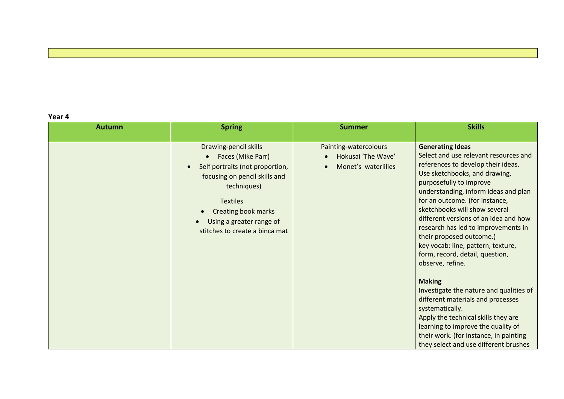**Year 4**

| <b>Autumn</b> | <b>Spring</b>                                                                                                                                                                                                                                             | <b>Summer</b>                                                      | <b>Skills</b>                                                                                                                                                                                                                                                                                                                                                                                                                                                                                                                                                                                                                                                                                                                                                              |
|---------------|-----------------------------------------------------------------------------------------------------------------------------------------------------------------------------------------------------------------------------------------------------------|--------------------------------------------------------------------|----------------------------------------------------------------------------------------------------------------------------------------------------------------------------------------------------------------------------------------------------------------------------------------------------------------------------------------------------------------------------------------------------------------------------------------------------------------------------------------------------------------------------------------------------------------------------------------------------------------------------------------------------------------------------------------------------------------------------------------------------------------------------|
|               | Drawing-pencil skills<br>Faces (Mike Parr)<br>Self portraits (not proportion,<br>$\bullet$<br>focusing on pencil skills and<br>techniques)<br><b>Textiles</b><br><b>Creating book marks</b><br>Using a greater range of<br>stitches to create a binca mat | Painting-watercolours<br>Hokusai 'The Wave'<br>Monet's waterlilies | <b>Generating Ideas</b><br>Select and use relevant resources and<br>references to develop their ideas.<br>Use sketchbooks, and drawing,<br>purposefully to improve<br>understanding, inform ideas and plan<br>for an outcome. (for instance,<br>sketchbooks will show several<br>different versions of an idea and how<br>research has led to improvements in<br>their proposed outcome.)<br>key vocab: line, pattern, texture,<br>form, record, detail, question,<br>observe, refine.<br><b>Making</b><br>Investigate the nature and qualities of<br>different materials and processes<br>systematically.<br>Apply the technical skills they are<br>learning to improve the quality of<br>their work. (for instance, in painting<br>they select and use different brushes |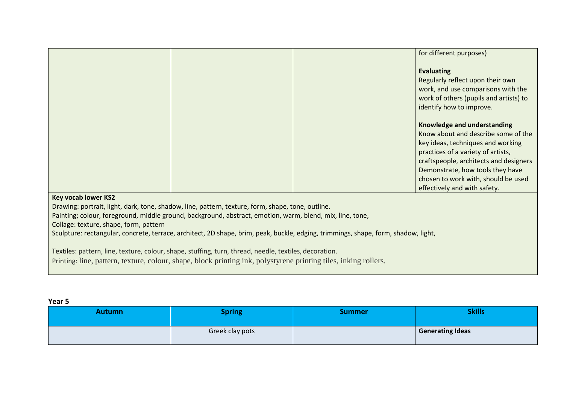|                                                                                                                                                                                                                                                                                                                                                                                                                              |  |  | for different purposes)                                                                                                                                                                                                                                                                            |
|------------------------------------------------------------------------------------------------------------------------------------------------------------------------------------------------------------------------------------------------------------------------------------------------------------------------------------------------------------------------------------------------------------------------------|--|--|----------------------------------------------------------------------------------------------------------------------------------------------------------------------------------------------------------------------------------------------------------------------------------------------------|
|                                                                                                                                                                                                                                                                                                                                                                                                                              |  |  | <b>Evaluating</b><br>Regularly reflect upon their own<br>work, and use comparisons with the<br>work of others (pupils and artists) to<br>identify how to improve.                                                                                                                                  |
|                                                                                                                                                                                                                                                                                                                                                                                                                              |  |  | Knowledge and understanding<br>Know about and describe some of the<br>key ideas, techniques and working<br>practices of a variety of artists,<br>craftspeople, architects and designers<br>Demonstrate, how tools they have<br>chosen to work with, should be used<br>effectively and with safety. |
| <b>Key vocab lower KS2</b><br>Drawing: portrait, light, dark, tone, shadow, line, pattern, texture, form, shape, tone, outline.<br>Painting; colour, foreground, middle ground, background, abstract, emotion, warm, blend, mix, line, tone,<br>Collage: texture, shape, form, pattern<br>Sculpture: rectangular, concrete, terrace, architect, 2D shape, brim, peak, buckle, edging, trimmings, shape, form, shadow, light, |  |  |                                                                                                                                                                                                                                                                                                    |
| Textiles: pattern, line, texture, colour, shape, stuffing, turn, thread, needle, textiles, decoration.                                                                                                                                                                                                                                                                                                                       |  |  |                                                                                                                                                                                                                                                                                                    |

Printing: line, pattern, texture, colour, shape, block printing ink, polystyrene printing tiles, inking rollers.

| ×<br>v<br>. .<br>×<br>۰.<br>× |
|-------------------------------|
|-------------------------------|

| <b>Autumn</b> | <b>Spring</b>   | Summer | <b>Skills</b>           |
|---------------|-----------------|--------|-------------------------|
|               | Greek clay pots |        | <b>Generating Ideas</b> |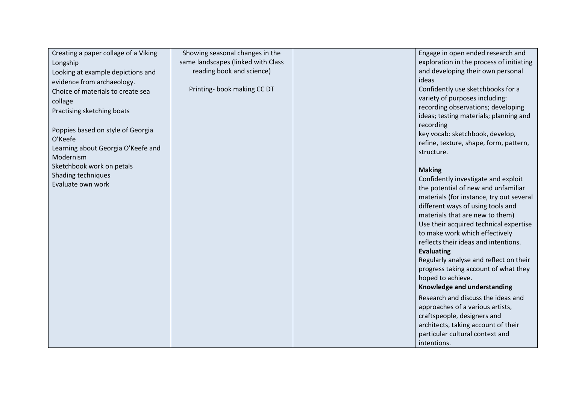| Creating a paper collage of a Viking | Showing seasonal changes in the    | Engage in open ended research and        |
|--------------------------------------|------------------------------------|------------------------------------------|
| Longship                             | same landscapes (linked with Class | exploration in the process of initiating |
| Looking at example depictions and    | reading book and science)          | and developing their own personal        |
| evidence from archaeology.           |                                    | ideas                                    |
| Choice of materials to create sea    | Printing-book making CC DT         | Confidently use sketchbooks for a        |
| collage                              |                                    | variety of purposes including:           |
| Practising sketching boats           |                                    | recording observations; developing       |
|                                      |                                    | ideas; testing materials; planning and   |
| Poppies based on style of Georgia    |                                    | recording                                |
| O'Keefe                              |                                    | key vocab: sketchbook, develop,          |
| Learning about Georgia O'Keefe and   |                                    | refine, texture, shape, form, pattern,   |
| Modernism                            |                                    | structure.                               |
| Sketchbook work on petals            |                                    |                                          |
| Shading techniques                   |                                    | <b>Making</b>                            |
| Evaluate own work                    |                                    | Confidently investigate and exploit      |
|                                      |                                    | the potential of new and unfamiliar      |
|                                      |                                    | materials (for instance, try out several |
|                                      |                                    | different ways of using tools and        |
|                                      |                                    | materials that are new to them)          |
|                                      |                                    | Use their acquired technical expertise   |
|                                      |                                    | to make work which effectively           |
|                                      |                                    | reflects their ideas and intentions.     |
|                                      |                                    | <b>Evaluating</b>                        |
|                                      |                                    | Regularly analyse and reflect on their   |
|                                      |                                    | progress taking account of what they     |
|                                      |                                    | hoped to achieve.                        |
|                                      |                                    | Knowledge and understanding              |
|                                      |                                    | Research and discuss the ideas and       |
|                                      |                                    | approaches of a various artists,         |
|                                      |                                    | craftspeople, designers and              |
|                                      |                                    | architects, taking account of their      |
|                                      |                                    | particular cultural context and          |
|                                      |                                    | intentions.                              |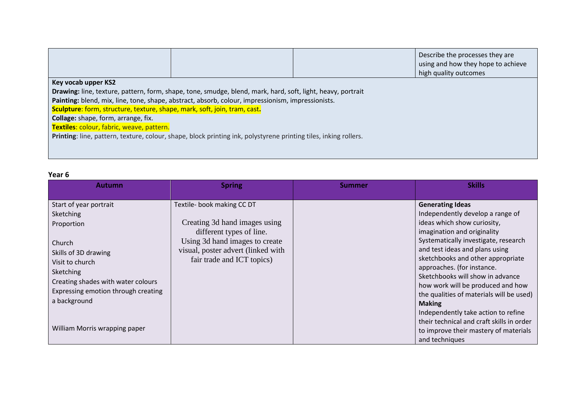|                                                                                                                  |                                                                                                             |  | Describe the processes they are<br>using and how they hope to achieve<br>high quality outcomes |
|------------------------------------------------------------------------------------------------------------------|-------------------------------------------------------------------------------------------------------------|--|------------------------------------------------------------------------------------------------|
| Key vocab upper KS2                                                                                              |                                                                                                             |  |                                                                                                |
|                                                                                                                  | Drawing: line, texture, pattern, form, shape, tone, smudge, blend, mark, hard, soft, light, heavy, portrait |  |                                                                                                |
|                                                                                                                  | Painting: blend, mix, line, tone, shape, abstract, absorb, colour, impressionism, impressionists.           |  |                                                                                                |
| <b>Sculpture:</b> form, structure, texture, shape, mark, soft, join, tram, cast.                                 |                                                                                                             |  |                                                                                                |
| Collage: shape, form, arrange, fix.                                                                              |                                                                                                             |  |                                                                                                |
| Textiles: colour, fabric, weave, pattern.                                                                        |                                                                                                             |  |                                                                                                |
| Printing: line, pattern, texture, colour, shape, block printing ink, polystyrene printing tiles, inking rollers. |                                                                                                             |  |                                                                                                |
|                                                                                                                  |                                                                                                             |  |                                                                                                |
|                                                                                                                  |                                                                                                             |  |                                                                                                |

## **Year 6**

| <b>Autumn</b>                                                                                                                                                                                                                                     | <b>Spring</b>                                                                                                                                                                                 | Summer | <b>Skills</b>                                                                                                                                                                                                                                                                                                                                                                                                                                                                                                                                               |
|---------------------------------------------------------------------------------------------------------------------------------------------------------------------------------------------------------------------------------------------------|-----------------------------------------------------------------------------------------------------------------------------------------------------------------------------------------------|--------|-------------------------------------------------------------------------------------------------------------------------------------------------------------------------------------------------------------------------------------------------------------------------------------------------------------------------------------------------------------------------------------------------------------------------------------------------------------------------------------------------------------------------------------------------------------|
| Start of year portrait<br>Sketching<br>Proportion<br>Church<br>Skills of 3D drawing<br>Visit to church<br>Sketching<br>Creating shades with water colours<br>Expressing emotion through creating<br>a background<br>William Morris wrapping paper | Textile- book making CC DT<br>Creating 3d hand images using<br>different types of line.<br>Using 3d hand images to create<br>visual, poster advert (linked with<br>fair trade and ICT topics) |        | <b>Generating Ideas</b><br>Independently develop a range of<br>ideas which show curiosity,<br>imagination and originality<br>Systematically investigate, research<br>and test ideas and plans using<br>sketchbooks and other appropriate<br>approaches. (for instance.<br>Sketchbooks will show in advance<br>how work will be produced and how<br>the qualities of materials will be used)<br><b>Making</b><br>Independently take action to refine<br>their technical and craft skills in order<br>to improve their mastery of materials<br>and techniques |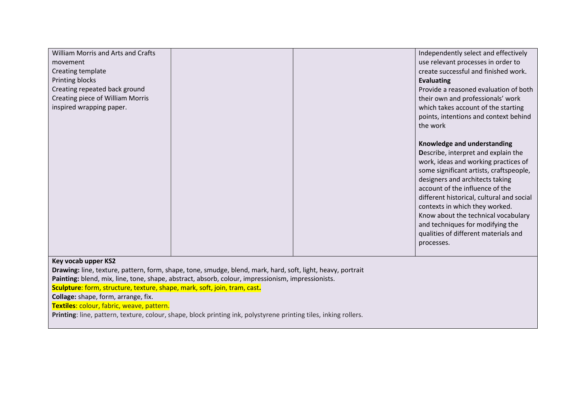| William Morris and Arts and Crafts<br>movement<br>Creating template<br>Printing blocks<br>Creating repeated back ground<br>Creating piece of William Morris<br>inspired wrapping paper. |  | Independently select and effectively<br>use relevant processes in order to<br>create successful and finished work.<br><b>Evaluating</b><br>Provide a reasoned evaluation of both<br>their own and professionals' work<br>which takes account of the starting<br>points, intentions and context behind<br>the work                                                                                                                           |
|-----------------------------------------------------------------------------------------------------------------------------------------------------------------------------------------|--|---------------------------------------------------------------------------------------------------------------------------------------------------------------------------------------------------------------------------------------------------------------------------------------------------------------------------------------------------------------------------------------------------------------------------------------------|
|                                                                                                                                                                                         |  | Knowledge and understanding<br>Describe, interpret and explain the<br>work, ideas and working practices of<br>some significant artists, craftspeople,<br>designers and architects taking<br>account of the influence of the<br>different historical, cultural and social<br>contexts in which they worked.<br>Know about the technical vocabulary<br>and techniques for modifying the<br>qualities of different materials and<br>processes. |

#### **Key vocab upper KS2**

**Drawing:** line, texture, pattern, form, shape, tone, smudge, blend, mark, hard, soft, light, heavy, portrait

**Painting:** blend, mix, line, tone, shape, abstract, absorb, colour, impressionism, impressionists.

**Sculpture**: form, structure, texture, shape, mark, soft, join, tram, cast**.**

**Collage:** shape, form, arrange, fix.

**Textiles**: colour, fabric, weave, pattern.

**Printing**: line, pattern, texture, colour, shape, block printing ink, polystyrene printing tiles, inking rollers.